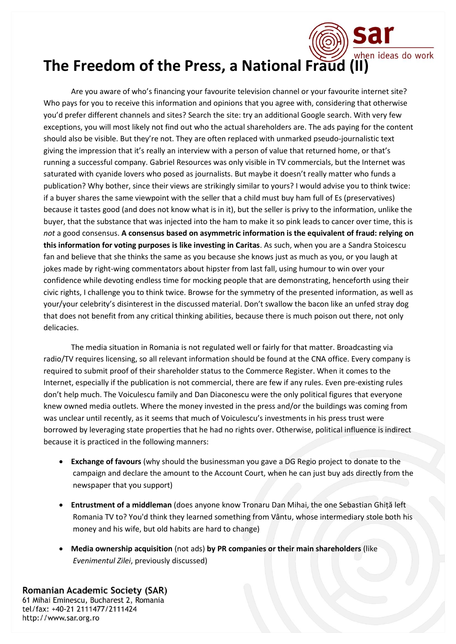## when ideas do work **The Freedom of the Press, a National Fraud (II)**

Are you aware of who's financing your favourite television channel or your favourite internet site? Who pays for you to receive this information and opinions that you agree with, considering that otherwise you'd prefer different channels and sites? Search the site: try an additional Google search. With very few exceptions, you will most likely not find out who the actual shareholders are. The ads paying for the content should also be visible. But they're not. They are often replaced with unmarked pseudo-journalistic text giving the impression that it's really an interview with a person of value that returned home, or that's running a successful company. Gabriel Resources was only visible in TV commercials, but the Internet was saturated with cyanide lovers who posed as journalists. But maybe it doesn't really matter who funds a publication? Why bother, since their views are strikingly similar to yours? I would advise you to think twice: if a buyer shares the same viewpoint with the seller that a child must buy ham full of Es (preservatives) because it tastes good (and does not know what is in it), but the seller is privy to the information, unlike the buyer, that the substance that was injected into the ham to make it so pink leads to cancer over time, this is *not* a good consensus. **A consensus based on asymmetric information is the equivalent of fraud: relying on this information for voting purposes is like investing in Caritas**. As such, when you are a Sandra Stoicescu fan and believe that she thinks the same as you because she knows just as much as you, or you laugh at jokes made by right-wing commentators about hipster from last fall, using humour to win over your confidence while devoting endless time for mocking people that are demonstrating, henceforth using their civic rights, I challenge you to think twice. Browse for the symmetry of the presented information, as well as your/your celebrity's disinterest in the discussed material. Don't swallow the bacon like an unfed stray dog that does not benefit from any critical thinking abilities, because there is much poison out there, not only delicacies.

The media situation in Romania is not regulated well or fairly for that matter. Broadcasting via radio/TV requires licensing, so all relevant information should be found at the CNA office. Every company is required to submit proof of their shareholder status to the Commerce Register. When it comes to the Internet, especially if the publication is not commercial, there are few if any rules. Even pre-existing rules don't help much. The Voiculescu family and Dan Diaconescu were the only political figures that everyone knew owned media outlets. Where the money invested in the press and/or the buildings was coming from was unclear until recently, as it seems that much of Voiculescu's investments in his press trust were borrowed by leveraging state properties that he had no rights over. Otherwise, political influence is indirect because it is practiced in the following manners:

- **Exchange of favours** (why should the businessman you gave a DG Regio project to donate to the campaign and declare the amount to the Account Court, when he can just buy ads directly from the newspaper that you support)
- **Entrustment of a middleman** (does anyone know Tronaru Dan Mihai, the one Sebastian Ghiță left Romania TV to? You'd think they learned something from Vântu, whose intermediary stole both his money and his wife, but old habits are hard to change)
- **Media ownership acquisition** (not ads) **by PR companies or their main shareholders** (like *Evenimentul Zilei*, previously discussed)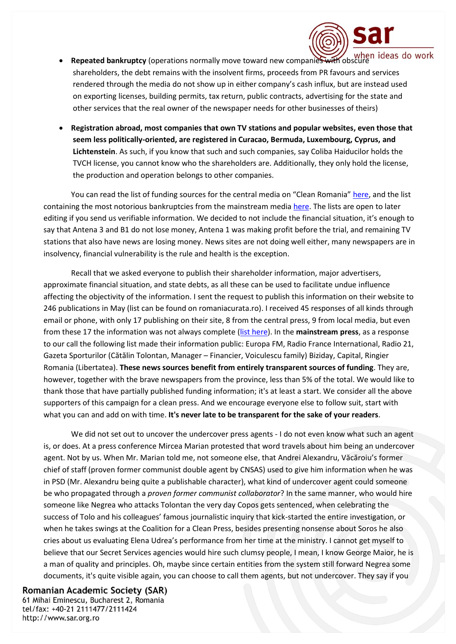- **Repeated bankruptcy** (operations normally move toward new companies with obscure shareholders, the debt remains with the insolvent firms, proceeds from PR favours and services rendered through the media do not show up in either company's cash influx, but are instead used on exporting licenses, building permits, tax return, public contracts, advertising for the state and other services that the real owner of the newspaper needs for other businesses of theirs)
- **Registration abroad, most companies that own TV stations and popular websites, even those that seem less politically-oriented, are registered in Curacao, Bermuda, Luxembourg, Cyprus, and Lichtenstein**. As such, if you know that such and such companies, say Coliba Haiducilor holds the TVCH license, you cannot know who the shareholders are. Additionally, they only hold the license, the production and operation belongs to other companies.

You can read the list of funding sources for the central media on "Clean Romania" [here,](http://romaniacurata.ro/cine-detine-presa-din-romania-cel-putin-in-acte-actionariatul-starea-presei-iii/) and the list containing the most notorious bankruptcies from the mainstream media [here.](http://romaniacurata.ro/starea-presei-ii-insolventele-din-presa-centrala/) The lists are open to later editing if you send us verifiable information. We decided to not include the financial situation, it's enough to say that Antena 3 and B1 do not lose money, Antena 1 was making profit before the trial, and remaining TV stations that also have news are losing money. News sites are not doing well either, many newspapers are in insolvency, financial vulnerability is the rule and health is the exception.

Recall that we asked everyone to publish their shareholder information, major advertisers, approximate financial situation, and state debts, as all these can be used to facilitate undue influence affecting the objectivity of the information. I sent the request to publish this information on their website to 246 publications in May (list can be found on romaniacurata.ro). I received 45 responses of all kinds through email or phone, with only 17 publishing on their site, 8 from the central press, 9 from local media, but even from these 17 the information was not always complete [\(list here\)](http://romaniacurata.ro/s-au-alaturat-initiativei-presa-curata/). In the **mainstream press**, as a response to our call the following list made their information public: Europa FM, Radio France International, Radio 21, Gazeta Sporturilor (Cătălin Tolontan, Manager – Financier, Voiculescu family) Biziday, Capital, Ringier Romania (Libertatea). **These news sources benefit from entirely transparent sources of funding**. They are, however, together with the brave newspapers from the province, less than 5% of the total. We would like to thank those that have partially published funding information; it's at least a start. We consider all the above supporters of this campaign for a clean press. And we encourage everyone else to follow suit, start with what you can and add on with time. **It's never late to be transparent for the sake of your readers**.

We did not set out to uncover the undercover press agents - I do not even know what such an agent is, or does. At a press conference Mircea Marian protested that word travels about him being an undercover agent. Not by us. When Mr. Marian told me, not someone else, that Andrei Alexandru, Văcăroiu's former chief of staff (proven former communist double agent by CNSAS) used to give him information when he was in PSD (Mr. Alexandru being quite a publishable character), what kind of undercover agent could someone be who propagated through a *proven former communist collaborator*? In the same manner, who would hire someone like Negrea who attacks Tolontan the very day Copos gets sentenced, when celebrating the success of Tolo and his colleagues' famous journalistic inquiry that kick-started the entire investigation, or when he takes swings at the Coalition for a Clean Press, besides presenting nonsense about Soros he also cries about us evaluating Elena Udrea's performance from her time at the ministry. I cannot get myself to believe that our Secret Services agencies would hire such clumsy people, I mean, I know George Maior, he is a man of quality and principles. Oh, maybe since certain entities from the system still forward Negrea some documents, it's quite visible again, you can choose to call them agents, but not undercover. They say if you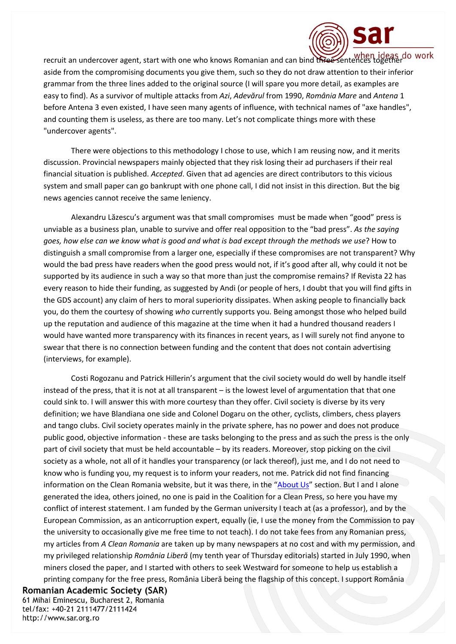

recruit an undercover agent, start with one who knows Romanian and can bind three sentences together aside from the compromising documents you give them, such so they do not draw attention to their inferior grammar from the three lines added to the original source (I will spare you more detail, as examples are easy to find). As a survivor of multiple attacks from *Azi*, *Adevărul* from 1990, *România Mare* and *Antena* 1 before Antena 3 even existed, I have seen many agents of influence, with technical names of "axe handles", and counting them is useless, as there are too many. Let's not complicate things more with these "undercover agents".

There were objections to this methodology I chose to use, which I am reusing now, and it merits discussion. Provincial newspapers mainly objected that they risk losing their ad purchasers if their real financial situation is published. *Accepted*. Given that ad agencies are direct contributors to this vicious system and small paper can go bankrupt with one phone call, I did not insist in this direction. But the big news agencies cannot receive the same leniency.

Alexandru Lăzescu's argument was that small compromises must be made when "good" press is unviable as a business plan, unable to survive and offer real opposition to the "bad press". *As the saying goes, how else can we know what is good and what is bad except through the methods we use*? How to distinguish a small compromise from a larger one, especially if these compromises are not transparent? Why would the bad press have readers when the good press would not, if it's good after all, why could it not be supported by its audience in such a way so that more than just the compromise remains? If Revista 22 has every reason to hide their funding, as suggested by Andi (or people of hers, I doubt that you will find gifts in the GDS account) any claim of hers to moral superiority dissipates. When asking people to financially back you, do them the courtesy of showing *who* currently supports you. Being amongst those who helped build up the reputation and audience of this magazine at the time when it had a hundred thousand readers I would have wanted more transparency with its finances in recent years, as I will surely not find anyone to swear that there is no connection between funding and the content that does not contain advertising (interviews, for example).

Costi Rogozanu and Patrick Hillerin's argument that the civil society would do well by handle itself instead of the press, that it is not at all transparent – is the lowest level of argumentation that that one could sink to. I will answer this with more courtesy than they offer. Civil society is diverse by its very definition; we have Blandiana one side and Colonel Dogaru on the other, cyclists, climbers, chess players and tango clubs. Civil society operates mainly in the private sphere, has no power and does not produce public good, objective information - these are tasks belonging to the press and as such the press is the only part of civil society that must be held accountable – by its readers. Moreover, stop picking on the civil society as a whole, not all of it handles your transparency (or lack thereof), just me, and I do not need to know who is funding you, my request is to inform your readers, not me. Patrick did not find financing information on the Clean Romania website, but it was there, in the "[About Us](http://romaniacurata.ro/finantatori/)" section. But I and I alone generated the idea, others joined, no one is paid in the Coalition for a Clean Press, so here you have my conflict of interest statement. I am funded by the German university I teach at (as a professor), and by the European Commission, as an anticorruption expert, equally (ie, I use the money from the Commission to pay the university to occasionally give me free time to not teach). I do not take fees from any Romanian press, my articles from *A Clean Romania* are taken up by many newspapers at no cost and with my permission, and my privileged relationship *România Liberă* (my tenth year of Thursday editorials) started in July 1990, when miners closed the paper, and I started with others to seek Westward for someone to help us establish a printing company for the free press, România Liberă being the flagship of this concept. I support România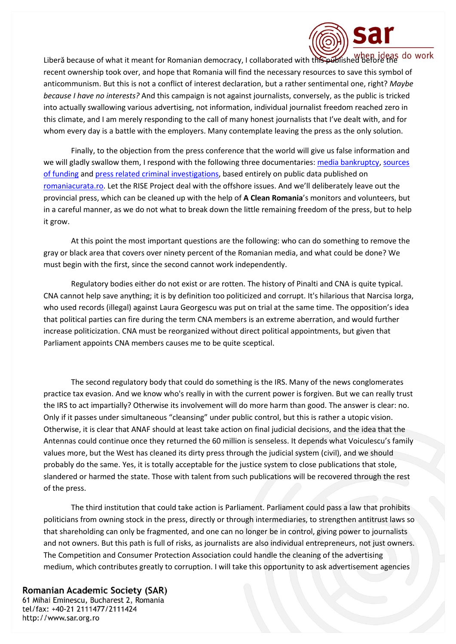

Liberă because of what it meant for Romanian democracy, I collaborated with this published before the recent ownership took over, and hope that Romania will find the necessary resources to save this symbol of anticommunism. But this is not a conflict of interest declaration, but a rather sentimental one, right? *Maybe because I have no interests?* And this campaign is not against journalists, conversely, as the public is tricked into actually swallowing various advertising, not information, individual journalist freedom reached zero in this climate, and I am merely responding to the call of many honest journalists that I've dealt with, and for whom every day is a battle with the employers. Many contemplate leaving the press as the only solution.

Finally, to the objection from the press conference that the world will give us false information and we will gladly swallow them, I respond with the following three documentaries: [media bankruptcy,](http://romaniacurata.ro/starea-presei-ii-insolventele-din-presa-centrala/) sources [of funding](http://romaniacurata.ro/cine-detine-presa-din-romania-cel-putin-in-acte-actionariatul-starea-presei-iii/) an[d press related criminal investigations,](http://romaniacurata.ro/starea-presei-i-probleme-judiciare-legate-de-presa-centrala/) based entirely on public data published on [romaniacurata.ro.](http://romaniacurata.ro/) Let the RISE Project deal with the offshore issues. And we'll deliberately leave out the provincial press, which can be cleaned up with the help of **A Clean Romania**'s monitors and volunteers, but in a careful manner, as we do not what to break down the little remaining freedom of the press, but to help it grow.

At this point the most important questions are the following: who can do something to remove the gray or black area that covers over ninety percent of the Romanian media, and what could be done? We must begin with the first, since the second cannot work independently.

Regulatory bodies either do not exist or are rotten. The history of Pinalti and CNA is quite typical. CNA cannot help save anything; it is by definition too politicized and corrupt. It's hilarious that Narcisa Iorga, who used records (illegal) against Laura Georgescu was put on trial at the same time. The opposition's idea that political parties can fire during the term CNA members is an extreme aberration, and would further increase politicization. CNA must be reorganized without direct political appointments, but given that Parliament appoints CNA members causes me to be quite sceptical.

The second regulatory body that could do something is the IRS. Many of the news conglomerates practice tax evasion. And we know who's really in with the current power is forgiven. But we can really trust the IRS to act impartially? Otherwise its involvement will do more harm than good. The answer is clear: no. Only if it passes under simultaneous "cleansing" under public control, but this is rather a utopic vision. Otherwise, it is clear that ANAF should at least take action on final judicial decisions, and the idea that the Antennas could continue once they returned the 60 million is senseless. It depends what Voiculescu's family values more, but the West has cleaned its dirty press through the judicial system (civil), and we should probably do the same. Yes, it is totally acceptable for the justice system to close publications that stole, slandered or harmed the state. Those with talent from such publications will be recovered through the rest of the press.

The third institution that could take action is Parliament. Parliament could pass a law that prohibits politicians from owning stock in the press, directly or through intermediaries, to strengthen antitrust laws so that shareholding can only be fragmented, and one can no longer be in control, giving power to journalists and not owners. But this path is full of risks, as journalists are also individual entrepreneurs, not just owners. The Competition and Consumer Protection Association could handle the cleaning of the advertising medium, which contributes greatly to corruption. I will take this opportunity to ask advertisement agencies